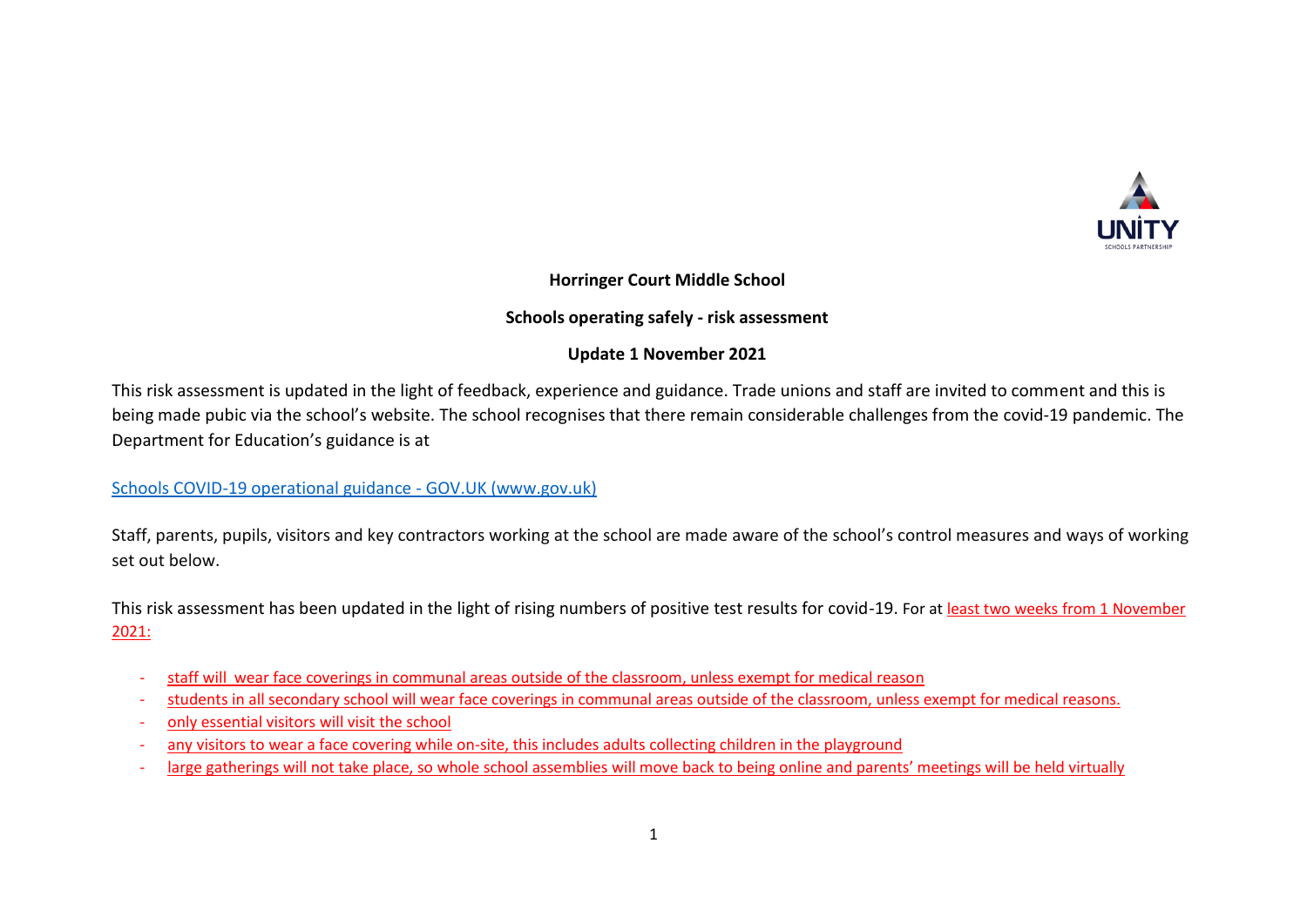

### **Horringer Court Middle School**

## **Schools operating safely - risk assessment**

### **Update 1 November 2021**

This risk assessment is updated in the light of feedback, experience and guidance. Trade unions and staff are invited to comment and this is being made pubic via the school's website. The school recognises that there remain considerable challenges from the covid-19 pandemic. The Department for Education's guidance is at

[Schools COVID-19 operational guidance -](https://www.gov.uk/government/publications/actions-for-schools-during-the-coronavirus-outbreak/schools-covid-19-operational-guidance?utm_source=19%20July%202021%20C19&utm_medium=Daily%20Email%20C19&utm_campaign=DfE%20C19) GOV.UK (www.gov.uk)

Staff, parents, pupils, visitors and key contractors working at the school are made aware of the school's control measures and ways of working set out below.

This risk assessment has been updated in the light of rising numbers of positive test results for covid-19. For at least two weeks from 1 November 2021:

- staff will wear face coverings in communal areas outside of the classroom, unless exempt for medical reason
- students in all secondary school will wear face coverings in communal areas outside of the classroom, unless exempt for medical reasons.
- only essential visitors will visit the school
- any visitors to wear a face covering while on-site, this includes adults collecting children in the playground
- large gatherings will not take place, so whole school assemblies will move back to being online and parents' meetings will be held virtually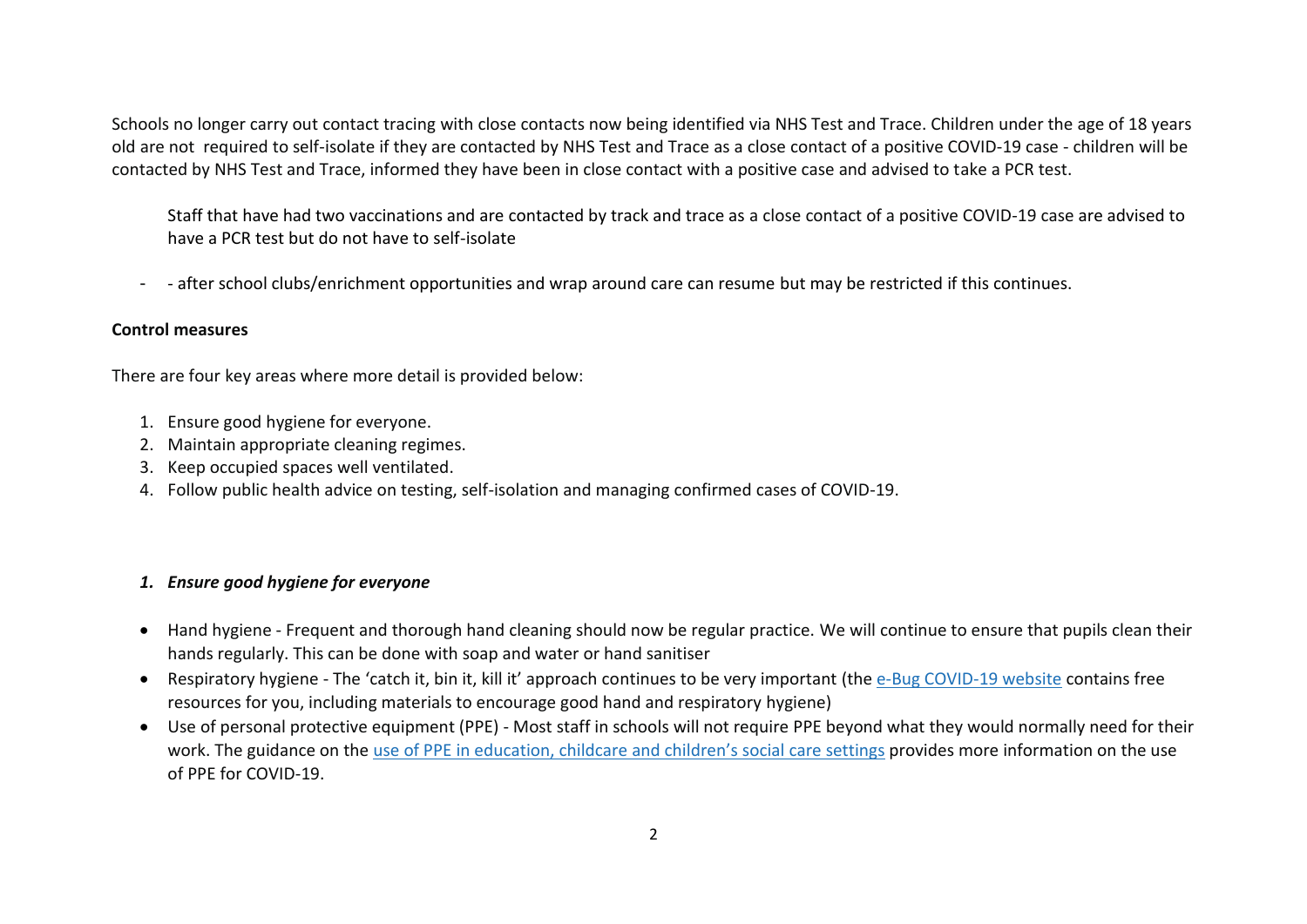Schools no longer carry out contact tracing with close contacts now being identified via NHS Test and Trace. Children under the age of 18 years old are not required to self-isolate if they are contacted by NHS Test and Trace as a close contact of a positive COVID-19 case - children will be contacted by NHS Test and Trace, informed they have been in close contact with a positive case and advised to take a PCR test.

Staff that have had two vaccinations and are contacted by track and trace as a close contact of a positive COVID-19 case are advised to have a PCR test but do not have to self-isolate

- - after school clubs/enrichment opportunities and wrap around care can resume but may be restricted if this continues.

#### **Control measures**

There are four key areas where more detail is provided below:

- 1. Ensure good hygiene for everyone.
- 2. Maintain appropriate cleaning regimes.
- 3. Keep occupied spaces well ventilated.
- 4. Follow public health advice on testing, self-isolation and managing confirmed cases of COVID-19.

#### *1. Ensure good hygiene for everyone*

- Hand hygiene Frequent and thorough hand cleaning should now be regular practice. We will continue to ensure that pupils clean their hands regularly. This can be done with soap and water or hand sanitiser
- Respiratory hygiene The 'catch it, bin it, kill it' approach continues to be very important (the e-Bug [COVID-19](https://e-bug.eu/eng_home.aspx?cc=eng&ss=1&t=Information%20about%20the%20Coronavirus) website contains free resources for you, including materials to encourage good hand and respiratory hygiene)
- Use of personal protective equipment (PPE) Most staff in schools will not require PPE beyond what they would normally need for their work. The guidance on the use of PPE in [education,](https://www.gov.uk/government/publications/safe-working-in-education-childcare-and-childrens-social-care) childcare and children's social care settings provides more information on the use of PPE for COVID-19.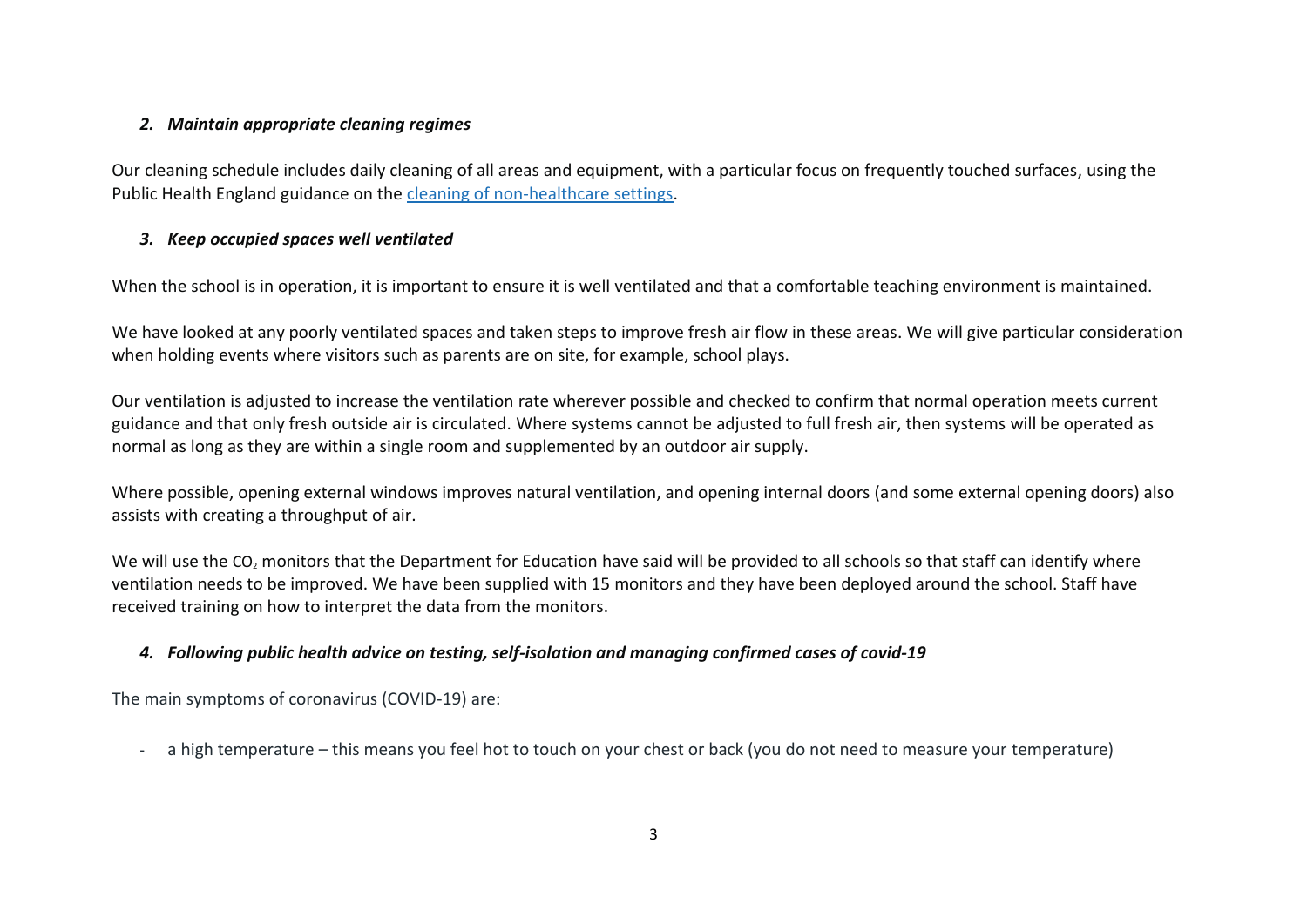## *2. Maintain appropriate cleaning regimes*

Our cleaning schedule includes daily cleaning of all areas and equipment, with a particular focus on frequently touched surfaces, using the Public Health England guidance on the cleaning of [non-healthcare](https://www.gov.uk/government/publications/covid-19-decontamination-in-non-healthcare-settings) settings.

# *3. Keep occupied spaces well ventilated*

When the school is in operation, it is important to ensure it is well ventilated and that a comfortable teaching environment is maintained.

We have looked at any poorly ventilated spaces and taken steps to improve fresh air flow in these areas. We will give particular consideration when holding events where visitors such as parents are on site, for example, school plays.

Our ventilation is adjusted to increase the ventilation rate wherever possible and checked to confirm that normal operation meets current guidance and that only fresh outside air is circulated. Where systems cannot be adjusted to full fresh air, then systems will be operated as normal as long as they are within a single room and supplemented by an outdoor air supply.

Where possible, opening external windows improves natural ventilation, and opening internal doors (and some external opening doors) also assists with creating a throughput of air.

We will use the CO<sub>2</sub> monitors that the Department for Education have said will be provided to all schools so that staff can identify where ventilation needs to be improved. We have been supplied with 15 monitors and they have been deployed around the school. Staff have received training on how to interpret the data from the monitors.

# *4. Following public health advice on testing, self-isolation and managing confirmed cases of covid-19*

The main symptoms of coronavirus (COVID-19) are:

a high temperature – this means you feel hot to touch on your chest or back (you do not need to measure your temperature)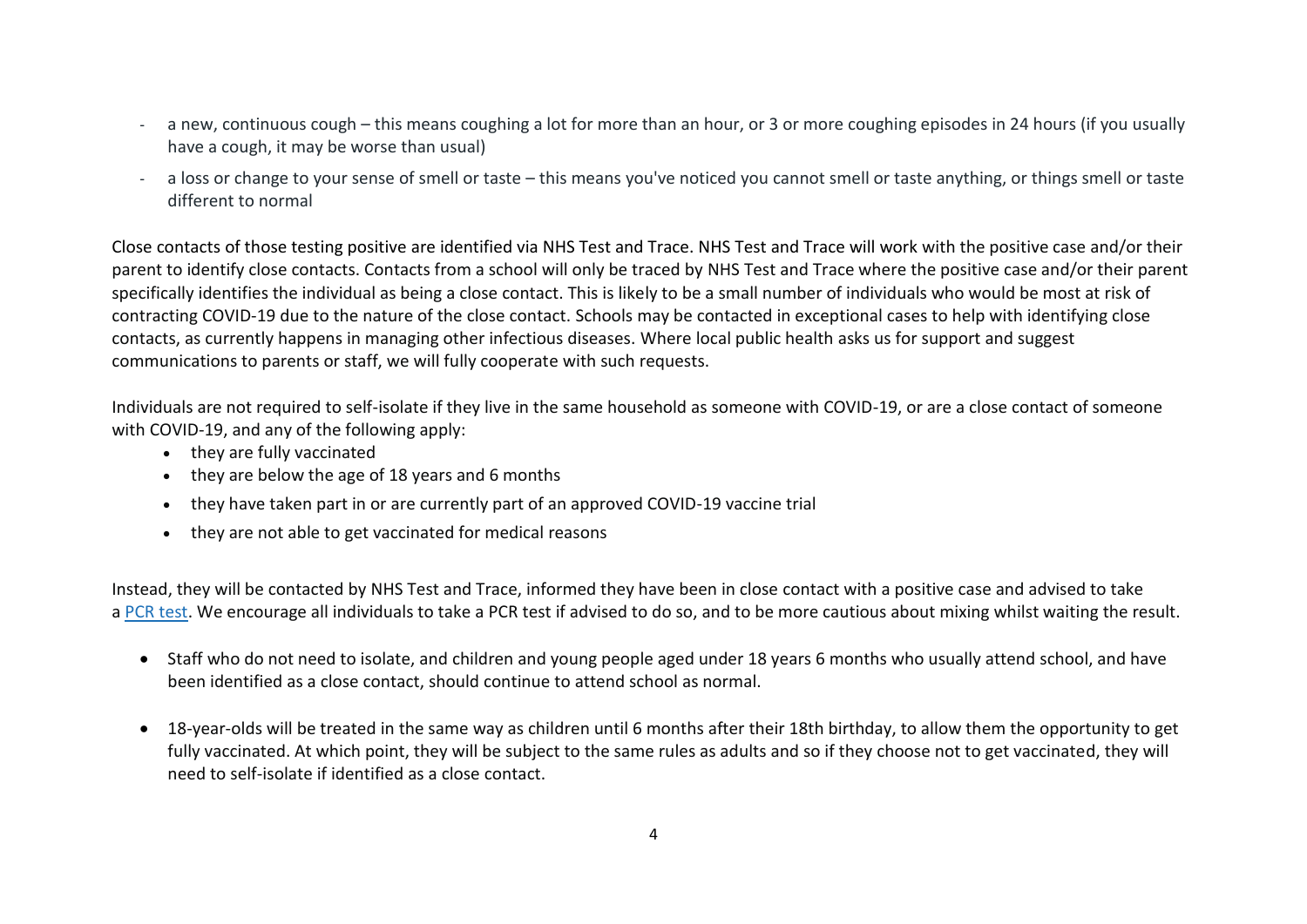- a new, continuous cough this means coughing a lot for more than an hour, or 3 or more coughing episodes in 24 hours (if you usually have a cough, it may be worse than usual)
- a loss or change to your sense of smell or taste this means you've noticed you cannot smell or taste anything, or things smell or taste different to normal

Close contacts of those testing positive are identified via NHS Test and Trace. NHS Test and Trace will work with the positive case and/or their parent to identify close contacts. Contacts from a school will only be traced by NHS Test and Trace where the positive case and/or their parent specifically identifies the individual as being a close contact. This is likely to be a small number of individuals who would be most at risk of contracting COVID-19 due to the nature of the close contact. Schools may be contacted in exceptional cases to help with identifying close contacts, as currently happens in managing other infectious diseases. Where local public health asks us for support and suggest communications to parents or staff, we will fully cooperate with such requests.

Individuals are not required to self-isolate if they live in the same household as someone with COVID-19, or are a close contact of someone with COVID-19, and any of the following apply:

- they are fully vaccinated
- they are below the age of 18 years and 6 months
- they have taken part in or are currently part of an approved COVID-19 vaccine trial
- they are not able to get vaccinated for medical reasons

Instead, they will be contacted by NHS Test and Trace, informed they have been in close contact with a positive case and advised to take a PCR [test.](https://www.gov.uk/get-coronavirus-test) We encourage all individuals to take a PCR test if advised to do so, and to be more cautious about mixing whilst waiting the result.

- Staff who do not need to isolate, and children and young people aged under 18 years 6 months who usually attend school, and have been identified as a close contact, should continue to attend school as normal.
- 18-year-olds will be treated in the same way as children until 6 months after their 18th birthday, to allow them the opportunity to get fully vaccinated. At which point, they will be subject to the same rules as adults and so if they choose not to get vaccinated, they will need to self-isolate if identified as a close contact.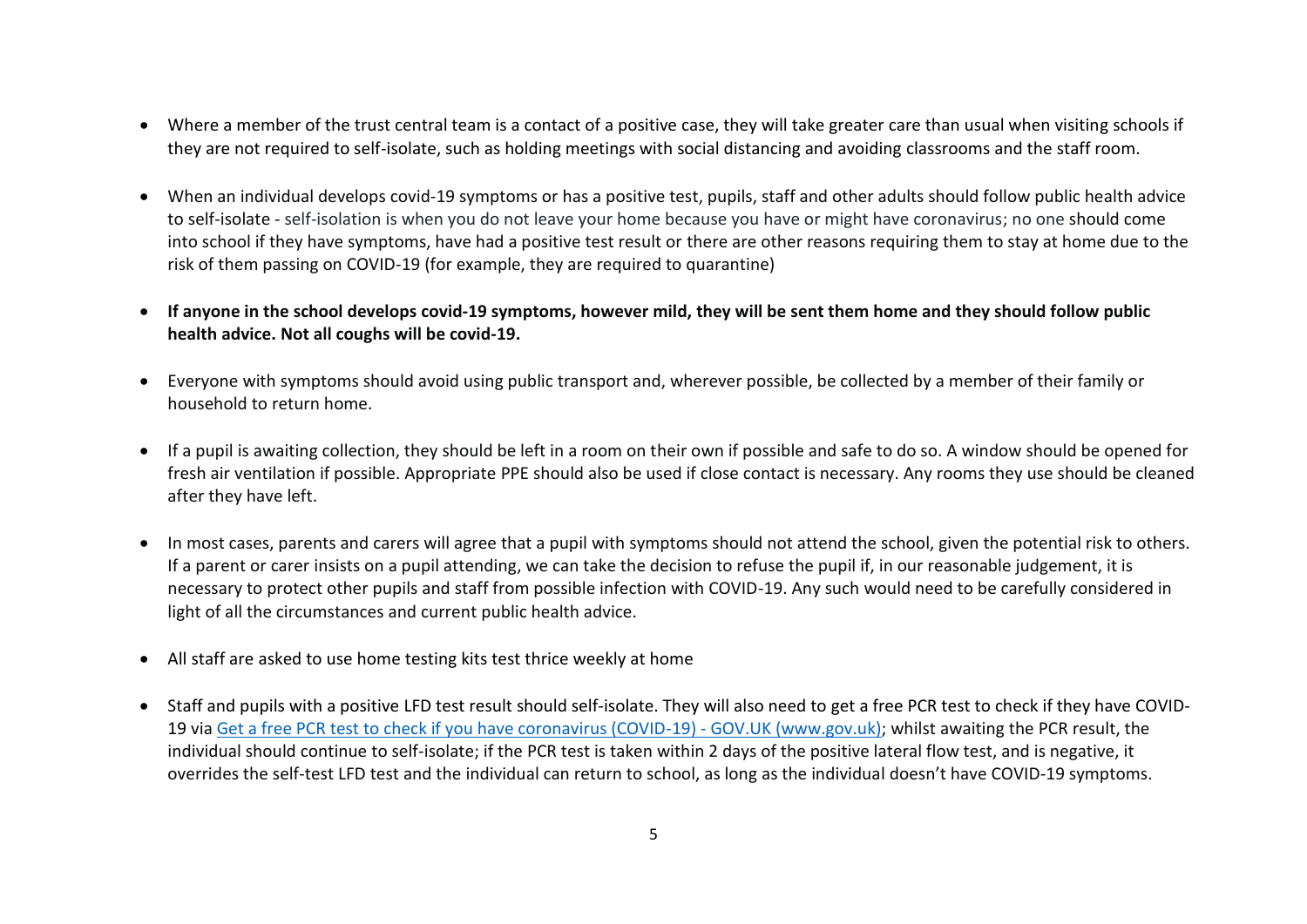- Where a member of the trust central team is a contact of a positive case, they will take greater care than usual when visiting schools if they are not required to self-isolate, such as holding meetings with social distancing and avoiding classrooms and the staff room.
- When an individual develops covid-19 symptoms or has a positive test, pupils, staff and other adults should follow public health advice to self-isolate - self-isolation is when you do not leave your home because you have or might have coronavirus; no one should come into school if they have symptoms, have had a positive test result or there are other reasons requiring them to stay at home due to the risk of them passing on COVID-19 (for example, they are required to quarantine)
- **If anyone in the school develops covid-19 symptoms, however mild, they will be sent them home and they should follow public health advice. Not all coughs will be covid-19.**
- Everyone with symptoms should avoid using public transport and, wherever possible, be collected by a member of their family or household to return home.
- If a pupil is awaiting collection, they should be left in a room on their own if possible and safe to do so. A window should be opened for fresh air ventilation if possible. Appropriate PPE should also be used if close contact is necessary. Any rooms they use should be cleaned after they have left.
- In most cases, parents and carers will agree that a pupil with symptoms should not attend the school, given the potential risk to others. If a parent or carer insists on a pupil attending, we can take the decision to refuse the pupil if, in our reasonable judgement, it is necessary to protect other pupils and staff from possible infection with COVID-19. Any such would need to be carefully considered in light of all the circumstances and current public health advice.
- All staff are asked to use home testing kits test thrice weekly at home
- Staff and pupils with a positive LFD test result should self-isolate. They will also need to get a free PCR test to check if they have [COVID-](https://www.gov.uk/get-coronavirus-test)[19](https://www.gov.uk/get-coronavirus-test) via [Get a free PCR test to check if you have coronavirus \(COVID-19\) -](https://www.gov.uk/get-coronavirus-test) GOV.UK (www.gov.uk); whilst awaiting the PCR result, the individual should continue to self-isolate; if the PCR test is taken within 2 days of the positive lateral flow test, and is negative, it overrides the self-test LFD test and the individual can return to school, as long as the individual doesn't have COVID-19 symptoms.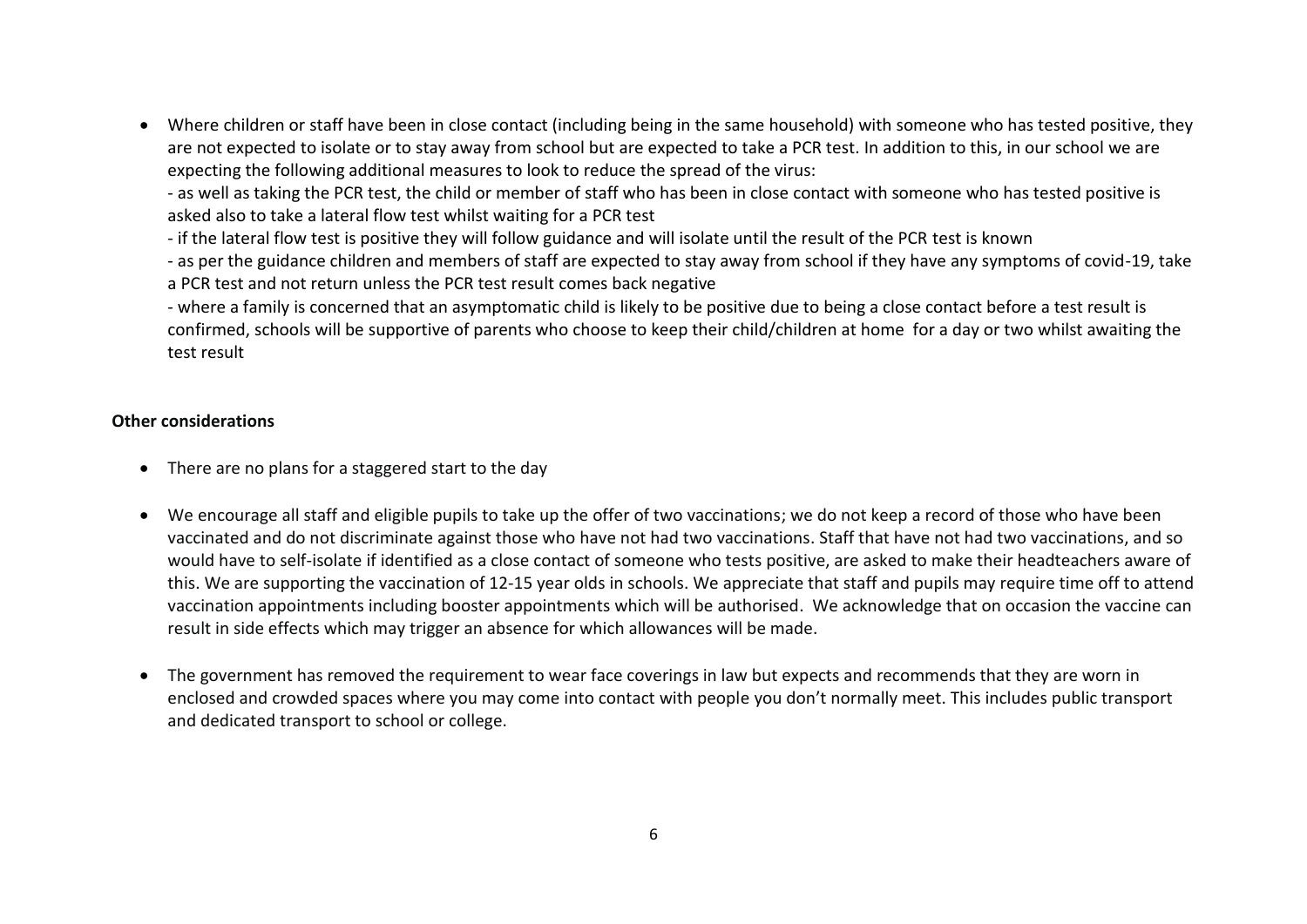• Where children or staff have been in close contact (including being in the same household) with someone who has tested positive, they are not expected to isolate or to stay away from school but are expected to take a PCR test. In addition to this, in our school we are expecting the following additional measures to look to reduce the spread of the virus:

- as well as taking the PCR test, the child or member of staff who has been in close contact with someone who has tested positive is asked also to take a lateral flow test whilst waiting for a PCR test

- if the lateral flow test is positive they will follow guidance and will isolate until the result of the PCR test is known

- as per the guidance children and members of staff are expected to stay away from school if they have any symptoms of covid-19, take a PCR test and not return unless the PCR test result comes back negative

- where a family is concerned that an asymptomatic child is likely to be positive due to being a close contact before a test result is confirmed, schools will be supportive of parents who choose to keep their child/children at home for a day or two whilst awaiting the test result

#### **Other considerations**

- There are no plans for a staggered start to the day
- We encourage all staff and eligible pupils to take up the offer of two vaccinations; we do not keep a record of those who have been vaccinated and do not discriminate against those who have not had two vaccinations. Staff that have not had two vaccinations, and so would have to self-isolate if identified as a close contact of someone who tests positive, are asked to make their headteachers aware of this. We are supporting the vaccination of 12-15 year olds in schools. We appreciate that staff and pupils may require time off to attend vaccination appointments including booster appointments which will be authorised. We acknowledge that on occasion the vaccine can result in side effects which may trigger an absence for which allowances will be made.
- The government has removed the requirement to wear face coverings in law but expects and recommends that they are worn in enclosed and crowded spaces where you may come into contact with people you don't normally meet. This includes public transport and dedicated transport to school or college.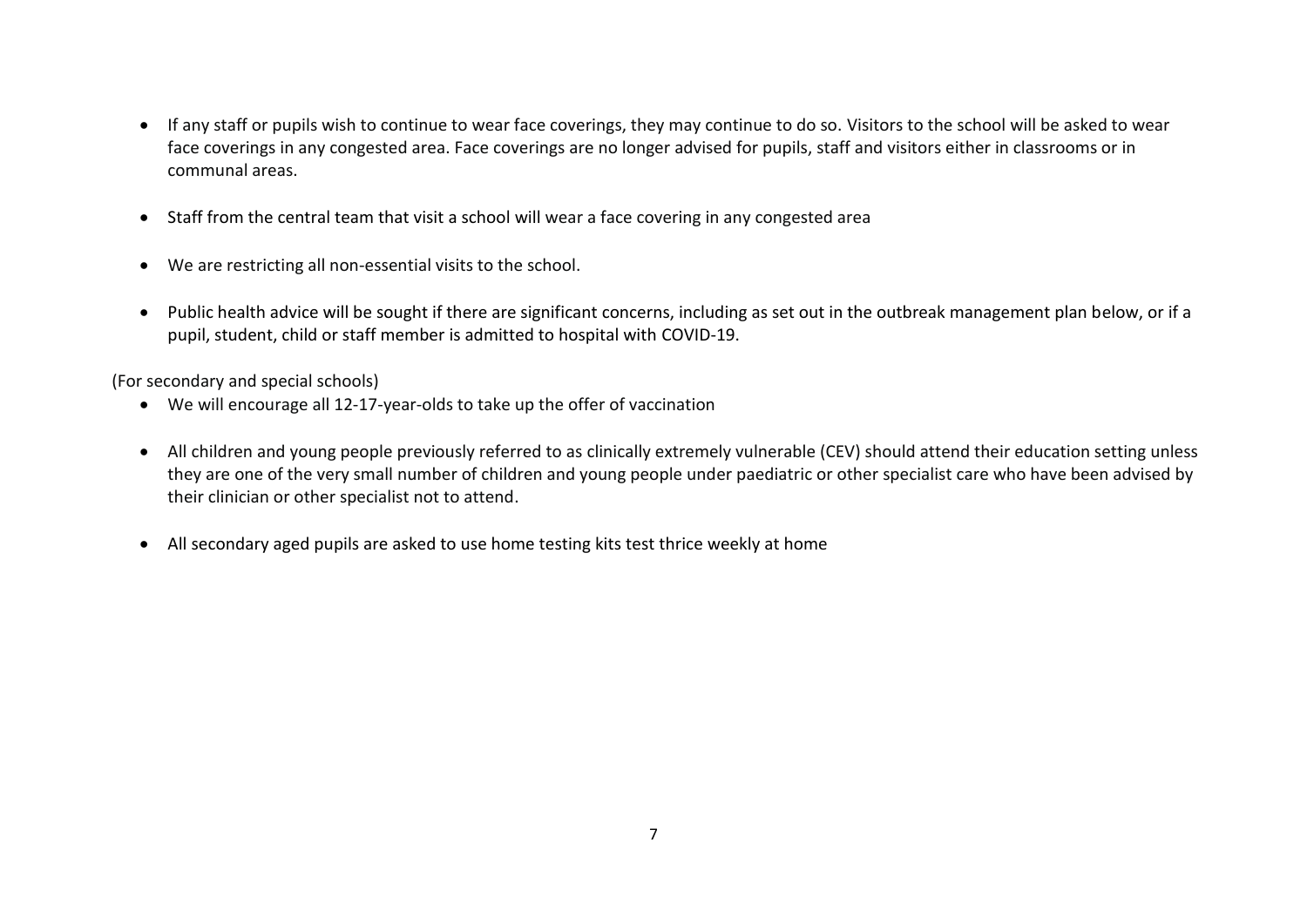- If any staff or pupils wish to continue to wear face coverings, they may continue to do so. Visitors to the school will be asked to wear face coverings in any congested area. Face coverings are no longer advised for pupils, staff and visitors either in classrooms or in communal areas.
- Staff from the central team that visit a school will wear a face covering in any congested area
- We are restricting all non-essential visits to the school.
- Public health advice will be sought if there are significant concerns, including as set out in the outbreak management plan below, or if a pupil, student, child or staff member is admitted to hospital with COVID-19.

(For secondary and special schools)

- We will encourage all 12-17-year-olds to take up the offer of vaccination
- All children and young people previously referred to as clinically extremely vulnerable (CEV) should attend their education setting unless they are one of the very small number of children and young people under paediatric or other specialist care who have been advised by their clinician or other specialist not to attend.
- All secondary aged pupils are asked to use home testing kits test thrice weekly at home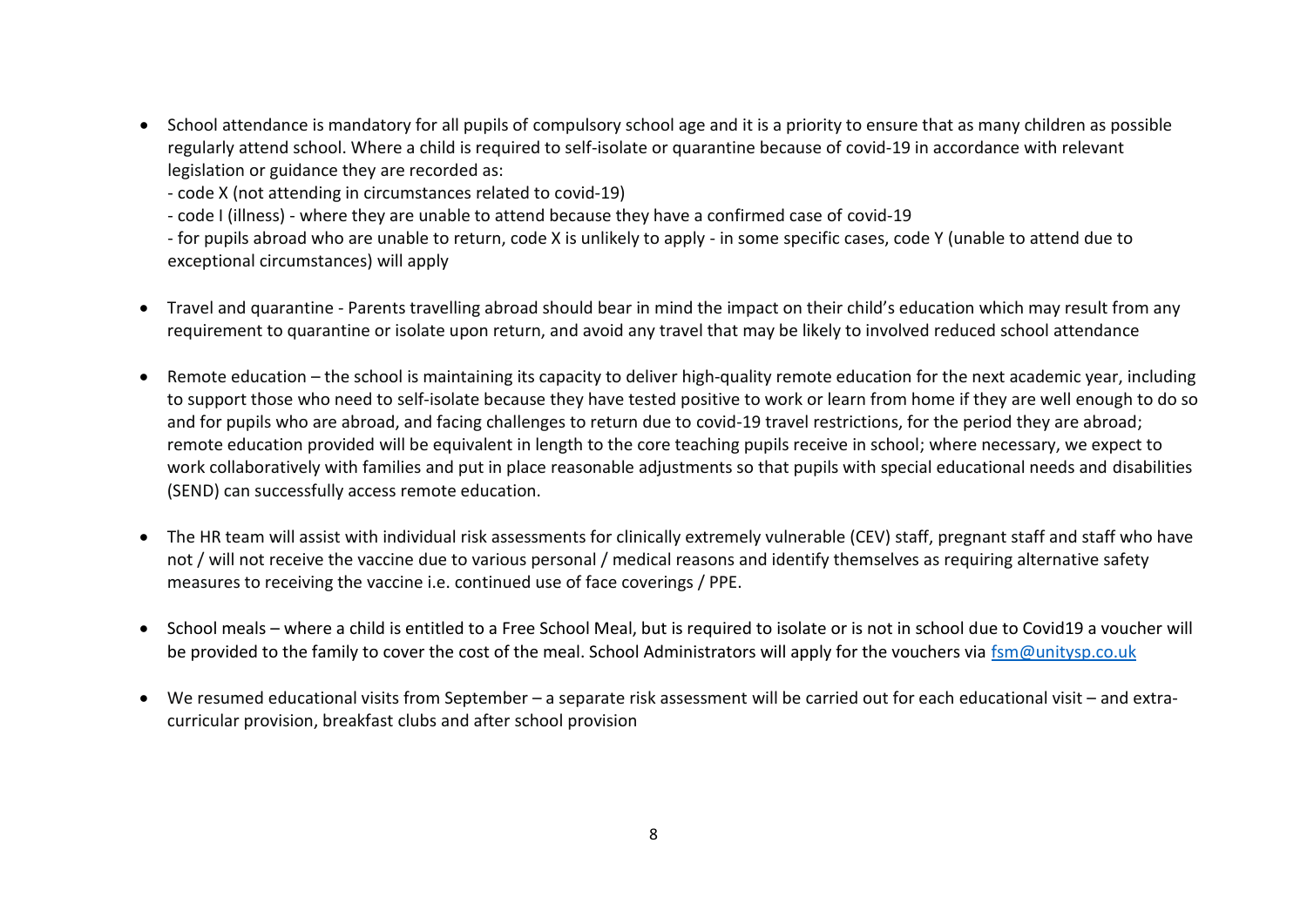• School attendance is mandatory for all pupils of compulsory school age and it is a priority to ensure that as many children as possible regularly attend school. Where a child is required to self-isolate or quarantine because of covid-19 in accordance with relevant legislation or guidance they are recorded as:

- code X (not attending in circumstances related to covid-19)

- code I (illness) - where they are unable to attend because they have a confirmed case of covid-19

- for pupils abroad who are unable to return, code X is unlikely to apply - in some specific cases, code Y (unable to attend due to exceptional circumstances) will apply

- Travel and quarantine Parents travelling abroad should bear in mind the impact on their child's education which may result from any requirement to quarantine or isolate upon return, and avoid any travel that may be likely to involved reduced school attendance
- Remote education the school is maintaining its capacity to deliver high-quality remote education for the next academic year, including to support those who need to self-isolate because they have tested positive to work or learn from home if they are well enough to do so and for pupils who are abroad, and facing challenges to return due to covid-19 travel restrictions, for the period they are abroad; remote education provided will be equivalent in length to the core teaching pupils receive in school; where necessary, we expect to work collaboratively with families and put in place reasonable adjustments so that pupils with special educational needs and disabilities (SEND) can successfully access remote education.
- The HR team will assist with individual risk assessments for clinically extremely vulnerable (CEV) staff, pregnant staff and staff who have not / will not receive the vaccine due to various personal / medical reasons and identify themselves as requiring alternative safety measures to receiving the vaccine i.e. continued use of face coverings / PPE.
- School meals where a child is entitled to a Free School Meal, but is required to isolate or is not in school due to Covid19 a voucher will be provided to the family to cover the cost of the meal. School Administrators will apply for the vouchers via [fsm@unitysp.co.uk](mailto:fsm@unitysp.co.uk)
- We resumed educational visits from September a separate risk assessment will be carried out for each educational visit and extracurricular provision, breakfast clubs and after school provision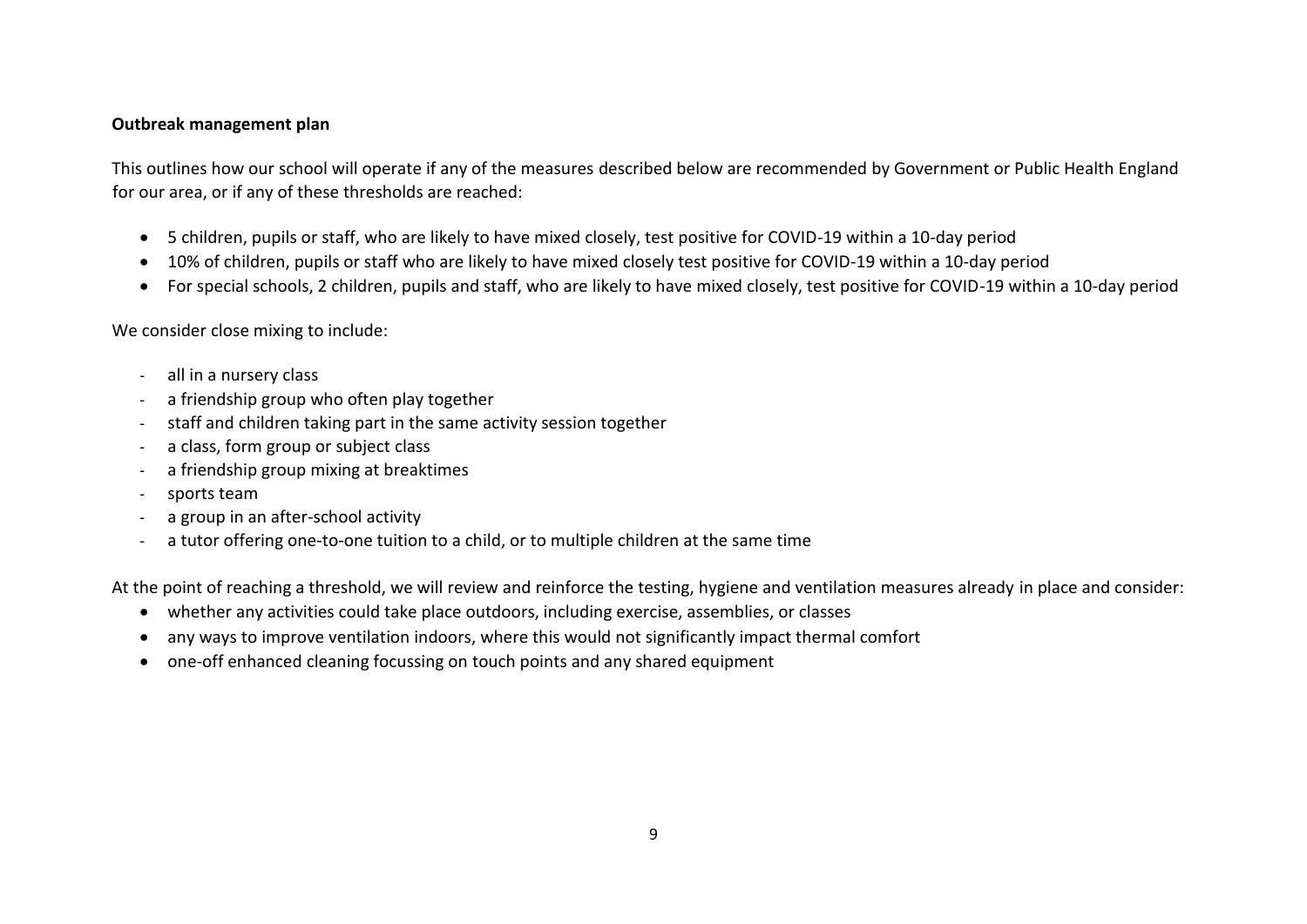### **Outbreak management plan**

This outlines how our school will operate if any of the measures described below are recommended by Government or Public Health England for our area, or if any of these thresholds are reached:

- 5 children, pupils or staff, who are likely to have mixed closely, test positive for COVID-19 within a 10-day period
- 10% of children, pupils or staff who are likely to have mixed closely test positive for COVID-19 within a 10-day period
- For special schools, 2 children, pupils and staff, who are likely to have mixed closely, test positive for COVID-19 within a 10-day period

We consider close mixing to include:

- all in a nursery class
- a friendship group who often play together
- staff and children taking part in the same activity session together
- a class, form group or subject class
- a friendship group mixing at breaktimes
- sports team
- a group in an after-school activity
- a tutor offering one-to-one tuition to a child, or to multiple children at the same time

At the point of reaching a threshold, we will review and reinforce the testing, hygiene and ventilation measures already in place and consider:

- whether any activities could take place outdoors, including exercise, assemblies, or classes
- any ways to improve ventilation indoors, where this would not significantly impact thermal comfort
- one-off enhanced cleaning focussing on touch points and any shared equipment